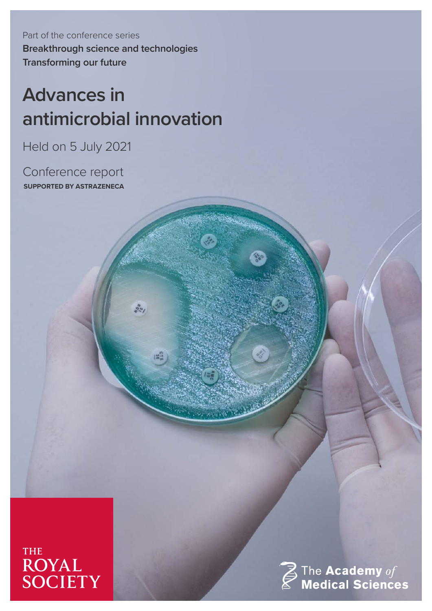Part of the conference series **Breakthrough science and technologies Transforming our future**

# **Advances in antimicrobial innovation**

 $85/$ 

Held on 5 July 2021

Conference report **SUPPORTED BY ASTRAZENECA**





 $\boldsymbol{\widehat{\mathbb{Z}}}$  The Academy  $of$  Medical Sciences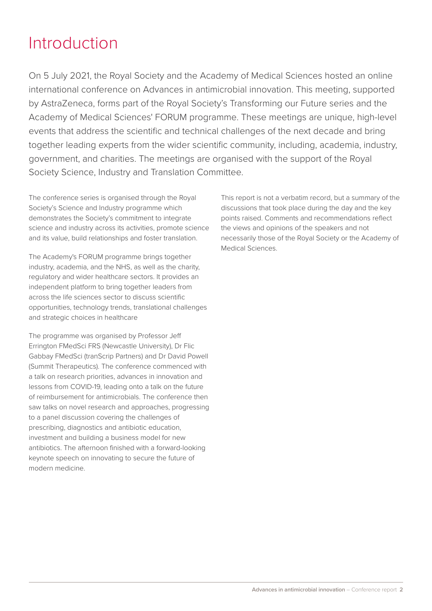# Introduction

On 5 July 2021, the Royal Society and the Academy of Medical Sciences hosted an online international conference on Advances in antimicrobial innovation. This meeting, supported by AstraZeneca, forms part of the Royal Society's Transforming our Future series and the Academy of Medical Sciences' FORUM programme. These meetings are unique, high-level events that address the scientific and technical challenges of the next decade and bring together leading experts from the wider scientific community, including, academia, industry, government, and charities. The meetings are organised with the support of the Royal Society Science, Industry and Translation Committee.

The conference series is organised through the Royal Society's Science and Industry programme which demonstrates the Society's commitment to integrate science and industry across its activities, promote science and its value, build relationships and foster translation.

The Academy's FORUM programme brings together industry, academia, and the NHS, as well as the charity, regulatory and wider healthcare sectors. It provides an independent platform to bring together leaders from across the life sciences sector to discuss scientific opportunities, technology trends, translational challenges and strategic choices in healthcare

The programme was organised by Professor Jeff Errington FMedSci FRS (Newcastle University), Dr Flic Gabbay FMedSci (tranScrip Partners) and Dr David Powell (Summit Therapeutics). The conference commenced with a talk on research priorities, advances in innovation and lessons from COVID-19, leading onto a talk on the future of reimbursement for antimicrobials. The conference then saw talks on novel research and approaches, progressing to a panel discussion covering the challenges of prescribing, diagnostics and antibiotic education, investment and building a business model for new antibiotics. The afternoon finished with a forward-looking keynote speech on innovating to secure the future of modern medicine.

This report is not a verbatim record, but a summary of the discussions that took place during the day and the key points raised. Comments and recommendations reflect the views and opinions of the speakers and not necessarily those of the Royal Society or the Academy of Medical Sciences.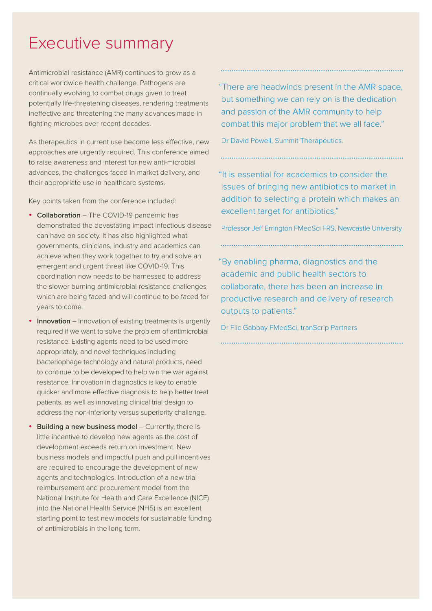## Executive summary

Antimicrobial resistance (AMR) continues to grow as a critical worldwide health challenge. Pathogens are continually evolving to combat drugs given to treat potentially life-threatening diseases, rendering treatments ineffective and threatening the many advances made in fighting microbes over recent decades.

As therapeutics in current use become less effective, new approaches are urgently required. This conference aimed to raise awareness and interest for new anti-microbial advances, the challenges faced in market delivery, and their appropriate use in healthcare systems.

Key points taken from the conference included:

- • **Collaboration**  The COVID-19 pandemic has demonstrated the devastating impact infectious disease can have on society. It has also highlighted what governments, clinicians, industry and academics can achieve when they work together to try and solve an emergent and urgent threat like COVID-19. This coordination now needs to be harnessed to address the slower burning antimicrobial resistance challenges which are being faced and will continue to be faced for years to come.
- **Innovation** Innovation of existing treatments is urgently required if we want to solve the problem of antimicrobial resistance. Existing agents need to be used more appropriately, and novel techniques including bacteriophage technology and natural products, need to continue to be developed to help win the war against resistance. Innovation in diagnostics is key to enable quicker and more effective diagnosis to help better treat patients, as well as innovating clinical trial design to address the non-inferiority versus superiority challenge.
- **Building a new business model** Currently, there is little incentive to develop new agents as the cost of development exceeds return on investment. New business models and impactful push and pull incentives are required to encourage the development of new agents and technologies. Introduction of a new trial reimbursement and procurement model from the National Institute for Health and Care Excellence (NICE) into the National Health Service (NHS) is an excellent starting point to test new models for sustainable funding of antimicrobials in the long term.

"There are headwinds present in the AMR space, but something we can rely on is the dedication and passion of the AMR community to help combat this major problem that we all face."

Dr David Powell, Summit Therapeutics.

"It is essential for academics to consider the issues of bringing new antibiotics to market in addition to selecting a protein which makes an excellent target for antibiotics."

Professor Jeff Errington FMedSci FRS, Newcastle University

"By enabling pharma, diagnostics and the academic and public health sectors to collaborate, there has been an increase in productive research and delivery of research outputs to patients."

Dr Flic Gabbay FMedSci, tranScrip Partners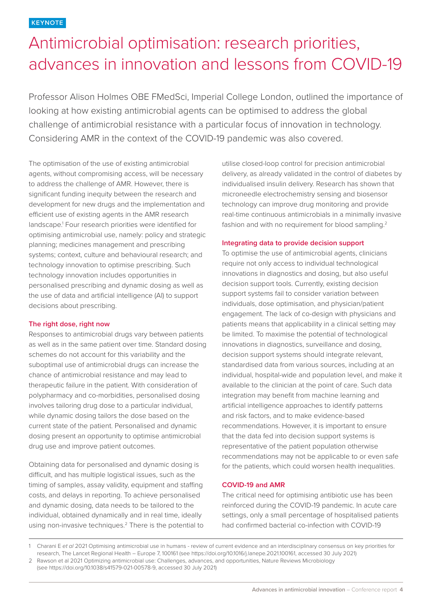# Antimicrobial optimisation: research priorities, advances in innovation and lessons from COVID-19

Professor Alison Holmes OBE FMedSci, Imperial College London, outlined the importance of looking at how existing antimicrobial agents can be optimised to address the global challenge of antimicrobial resistance with a particular focus of innovation in technology. Considering AMR in the context of the COVID-19 pandemic was also covered.

The optimisation of the use of existing antimicrobial agents, without compromising access, will be necessary to address the challenge of AMR. However, there is significant funding inequity between the research and development for new drugs and the implementation and efficient use of existing agents in the AMR research landscape.1 Four research priorities were identified for optimising antimicrobial use, namely: policy and strategic planning; medicines management and prescribing systems; context, culture and behavioural research; and technology innovation to optimise prescribing. Such technology innovation includes opportunities in personalised prescribing and dynamic dosing as well as the use of data and artificial intelligence (AI) to support decisions about prescribing.

### **The right dose, right now**

Responses to antimicrobial drugs vary between patients as well as in the same patient over time. Standard dosing schemes do not account for this variability and the suboptimal use of antimicrobial drugs can increase the chance of antimicrobial resistance and may lead to therapeutic failure in the patient. With consideration of polypharmacy and co-morbidities, personalised dosing involves tailoring drug dose to a particular individual, while dynamic dosing tailors the dose based on the current state of the patient. Personalised and dynamic dosing present an opportunity to optimise antimicrobial drug use and improve patient outcomes.

Obtaining data for personalised and dynamic dosing is difficult, and has multiple logistical issues, such as the timing of samples, assay validity, equipment and staffing costs, and delays in reporting. To achieve personalised and dynamic dosing, data needs to be tailored to the individual, obtained dynamically and in real time, ideally using non-invasive techniques.<sup>2</sup> There is the potential to utilise closed-loop control for precision antimicrobial delivery, as already validated in the control of diabetes by individualised insulin delivery. Research has shown that microneedle electrochemistry sensing and biosensor technology can improve drug monitoring and provide real-time continuous antimicrobials in a minimally invasive fashion and with no requirement for blood sampling.<sup>2</sup>

#### **Integrating data to provide decision support**

To optimise the use of antimicrobial agents, clinicians require not only access to individual technological innovations in diagnostics and dosing, but also useful decision support tools. Currently, existing decision support systems fail to consider variation between individuals, dose optimisation, and physician/patient engagement. The lack of co-design with physicians and patients means that applicability in a clinical setting may be limited. To maximise the potential of technological innovations in diagnostics, surveillance and dosing, decision support systems should integrate relevant, standardised data from various sources, including at an individual, hospital-wide and population level, and make it available to the clinician at the point of care. Such data integration may benefit from machine learning and artificial intelligence approaches to identify patterns and risk factors, and to make evidence-based recommendations. However, it is important to ensure that the data fed into decision support systems is representative of the patient population otherwise recommendations may not be applicable to or even safe for the patients, which could worsen health inequalities.

### **COVID-19 and AMR**

The critical need for optimising antibiotic use has been reinforced during the COVID-19 pandemic. In acute care settings, only a small percentage of hospitalised patients had confirmed bacterial co-infection with COVID-19

(see https://doi.org/10.1038/s41579-021-00578-9, accessed 30 July 2021)

<sup>1</sup> Charani E *et al* 2021 Optimising antimicrobial use in humans - review of current evidence and an interdisciplinary consensus on key priorities for research, The Lancet Regional Health – Europe 7, 100161 (see https://doi.org/10.1016/j.lanepe.2021.100161, accessed 30 July 2021) 2 Rawson et al 2021 Optimizing antimicrobial use: Challenges, advances, and opportunities, Nature Reviews Microbiology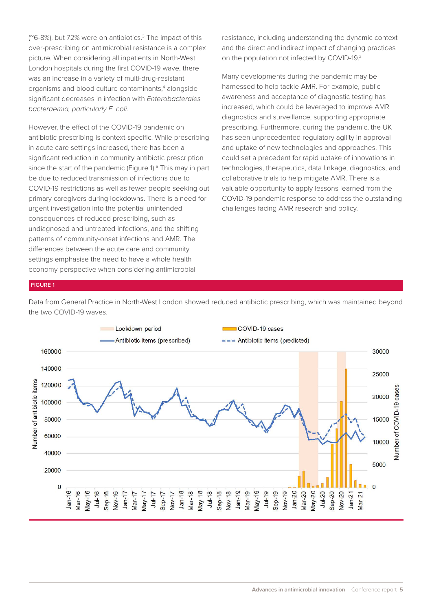(~6-8%), but 72% were on antibiotics.<sup>3</sup> The impact of this over-prescribing on antimicrobial resistance is a complex picture. When considering all inpatients in North-West London hospitals during the first COVID-19 wave, there was an increase in a variety of multi-drug-resistant organisms and blood culture contaminants,<sup>4</sup> alongside significant decreases in infection with *Enterobacterales bacteraemia, particularly E. coli.*

However, the effect of the COVID-19 pandemic on antibiotic prescribing is context-specific. While prescribing in acute care settings increased, there has been a significant reduction in community antibiotic prescription since the start of the pandemic (Figure 1).<sup>5</sup> This may in part be due to reduced transmission of infections due to COVID-19 restrictions as well as fewer people seeking out primary caregivers during lockdowns. There is a need for urgent investigation into the potential unintended consequences of reduced prescribing, such as undiagnosed and untreated infections, and the shifting patterns of community-onset infections and AMR. The differences between the acute care and community settings emphasise the need to have a whole health economy perspective when considering antimicrobial

resistance, including understanding the dynamic context and the direct and indirect impact of changing practices on the population not infected by COVID-19.2

Many developments during the pandemic may be harnessed to help tackle AMR. For example, public awareness and acceptance of diagnostic testing has increased, which could be leveraged to improve AMR diagnostics and surveillance, supporting appropriate prescribing. Furthermore, during the pandemic, the UK has seen unprecedented regulatory agility in approval and uptake of new technologies and approaches. This could set a precedent for rapid uptake of innovations in technologies, therapeutics, data linkage, diagnostics, and collaborative trials to help mitigate AMR. There is a valuable opportunity to apply lessons learned from the COVID-19 pandemic response to address the outstanding challenges facing AMR research and policy.

#### **FIGURE 1**

Data from General Practice in North-West London showed reduced antibiotic prescribing, which was maintained beyond the two COVID-19 waves.

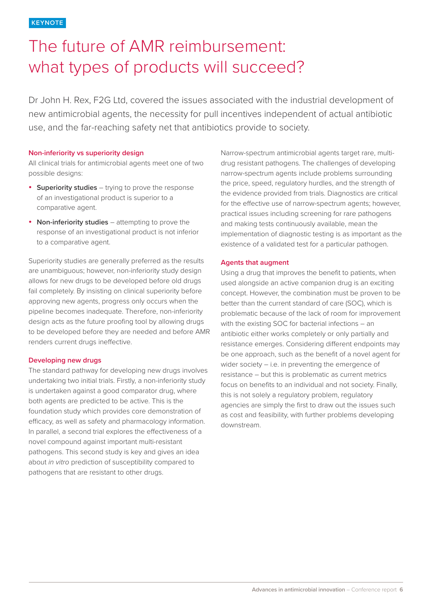# The future of AMR reimbursement: what types of products will succeed?

Dr John H. Rex, F2G Ltd, covered the issues associated with the industrial development of new antimicrobial agents, the necessity for pull incentives independent of actual antibiotic use, and the far-reaching safety net that antibiotics provide to society.

#### **Non-inferiority vs superiority design**

All clinical trials for antimicrobial agents meet one of two possible designs:

- • **Superiority studies** trying to prove the response of an investigational product is superior to a comparative agent.
- • **Non-inferiority studies** attempting to prove the response of an investigational product is not inferior to a comparative agent.

Superiority studies are generally preferred as the results are unambiguous; however, non-inferiority study design allows for new drugs to be developed before old drugs fail completely. By insisting on clinical superiority before approving new agents, progress only occurs when the pipeline becomes inadequate. Therefore, non-inferiority design acts as the future proofing tool by allowing drugs to be developed before they are needed and before AMR renders current drugs ineffective.

#### **Developing new drugs**

The standard pathway for developing new drugs involves undertaking two initial trials. Firstly, a non-inferiority study is undertaken against a good comparator drug, where both agents are predicted to be active. This is the foundation study which provides core demonstration of efficacy, as well as safety and pharmacology information. In parallel, a second trial explores the effectiveness of a novel compound against important multi-resistant pathogens. This second study is key and gives an idea about *in vitro* prediction of susceptibility compared to pathogens that are resistant to other drugs.

Narrow-spectrum antimicrobial agents target rare, multidrug resistant pathogens. The challenges of developing narrow-spectrum agents include problems surrounding the price, speed, regulatory hurdles, and the strength of the evidence provided from trials. Diagnostics are critical for the effective use of narrow-spectrum agents; however, practical issues including screening for rare pathogens and making tests continuously available, mean the implementation of diagnostic testing is as important as the existence of a validated test for a particular pathogen.

#### **Agents that augment**

Using a drug that improves the benefit to patients, when used alongside an active companion drug is an exciting concept. However, the combination must be proven to be better than the current standard of care (SOC), which is problematic because of the lack of room for improvement with the existing SOC for bacterial infections – an antibiotic either works completely or only partially and resistance emerges. Considering different endpoints may be one approach, such as the benefit of a novel agent for wider society – i.e. in preventing the emergence of resistance – but this is problematic as current metrics focus on benefits to an individual and not society. Finally, this is not solely a regulatory problem, regulatory agencies are simply the first to draw out the issues such as cost and feasibility, with further problems developing downstream.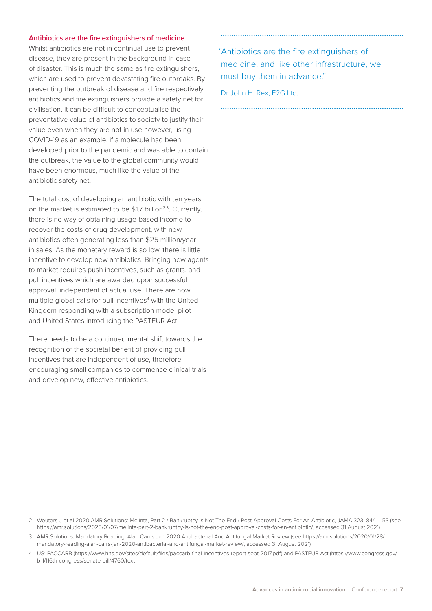#### **Antibiotics are the fire extinguishers of medicine**

Whilst antibiotics are not in continual use to prevent disease, they are present in the background in case of disaster. This is much the same as fire extinguishers, which are used to prevent devastating fire outbreaks. By preventing the outbreak of disease and fire respectively, antibiotics and fire extinguishers provide a safety net for civilisation. It can be difficult to conceptualise the preventative value of antibiotics to society to justify their value even when they are not in use however, using COVID-19 as an example, if a molecule had been developed prior to the pandemic and was able to contain the outbreak, the value to the global community would have been enormous, much like the value of the antibiotic safety net.

The total cost of developing an antibiotic with ten years on the market is estimated to be \$1.7 billion<sup>2,3</sup>. Currently, there is no way of obtaining usage-based income to recover the costs of drug development, with new antibiotics often generating less than \$25 million/year in sales. As the monetary reward is so low, there is little incentive to develop new antibiotics. Bringing new agents to market requires push incentives, such as grants, and pull incentives which are awarded upon successful approval, independent of actual use. There are now multiple global calls for pull incentives<sup>4</sup> with the United Kingdom responding with a subscription model pilot and United States introducing the PASTEUR Act.

There needs to be a continued mental shift towards the recognition of the societal benefit of providing pull incentives that are independent of use, therefore encouraging small companies to commence clinical trials and develop new, effective antibiotics.

 "Antibiotics are the fire extinguishers of medicine, and like other infrastructure, we must buy them in advance."

Dr John H. Rex, F2G Ltd.

2 Wouters J et al 2020 AMR.Solutions: Melinta, Part 2 / Bankruptcy Is Not The End / Post-Approval Costs For An Antibiotic, JAMA 323, 844 – 53 (see https://amr.solutions/2020/01/07/melinta-part-2-bankruptcy-is-not-the-end-post-approval-costs-for-an-antibiotic/, accessed 31 August 2021)

3 AMR.Solutions: Mandatory Reading: Alan Carr's Jan 2020 Antibacterial And Antifungal Market Review (see https://amr.solutions/2020/01/28/ mandatory-reading-alan-carrs-jan-2020-antibacterial-and-antifungal-market-review/, accessed 31 August 2021)

4 US: PACCARB (https://www.hhs.gov/sites/default/files/paccarb-final-incentives-report-sept-2017.pdf) and PASTEUR Act (https://www.congress.gov/ bill/116th-congress/senate-bill/4760/text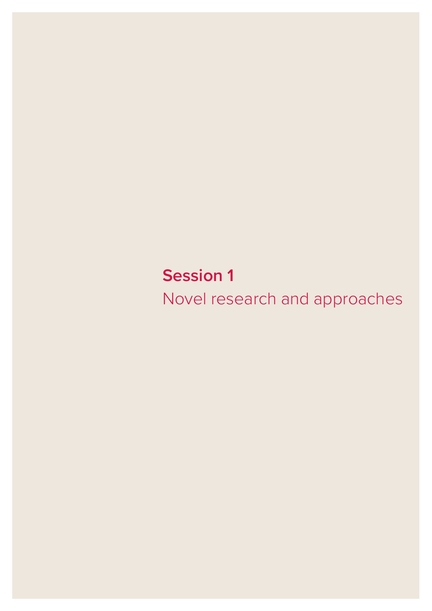**Session 1**  Novel research and approaches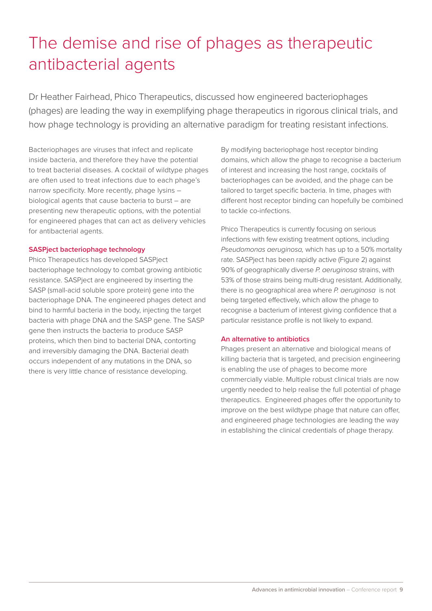# The demise and rise of phages as therapeutic antibacterial agents

Dr Heather Fairhead, Phico Therapeutics, discussed how engineered bacteriophages (phages) are leading the way in exemplifying phage therapeutics in rigorous clinical trials, and how phage technology is providing an alternative paradigm for treating resistant infections.

Bacteriophages are viruses that infect and replicate inside bacteria, and therefore they have the potential to treat bacterial diseases. A cocktail of wildtype phages are often used to treat infections due to each phage's narrow specificity. More recently, phage lysins – biological agents that cause bacteria to burst – are presenting new therapeutic options, with the potential for engineered phages that can act as delivery vehicles for antibacterial agents.

### **SASPject bacteriophage technology**

Phico Therapeutics has developed SASPject bacteriophage technology to combat growing antibiotic resistance. SASPject are engineered by inserting the SASP (small-acid soluble spore protein) gene into the bacteriophage DNA. The engineered phages detect and bind to harmful bacteria in the body, injecting the target bacteria with phage DNA and the SASP gene. The SASP gene then instructs the bacteria to produce SASP proteins, which then bind to bacterial DNA, contorting and irreversibly damaging the DNA. Bacterial death occurs independent of any mutations in the DNA, so there is very little chance of resistance developing.

By modifying bacteriophage host receptor binding domains, which allow the phage to recognise a bacterium of interest and increasing the host range, cocktails of bacteriophages can be avoided, and the phage can be tailored to target specific bacteria. In time, phages with different host receptor binding can hopefully be combined to tackle co-infections.

Phico Therapeutics is currently focusing on serious infections with few existing treatment options, including *Pseudomonas aeruginosa,* which has up to a 50% mortality rate. SASPject has been rapidly active (Figure 2) against 90% of geographically diverse *P. aeruginosa* strains, with 53% of those strains being multi-drug resistant. Additionally, there is no geographical area where *P. aeruginosa* is not being targeted effectively, which allow the phage to recognise a bacterium of interest giving confidence that a particular resistance profile is not likely to expand.

#### **An alternative to antibiotics**

Phages present an alternative and biological means of killing bacteria that is targeted, and precision engineering is enabling the use of phages to become more commercially viable. Multiple robust clinical trials are now urgently needed to help realise the full potential of phage therapeutics. Engineered phages offer the opportunity to improve on the best wildtype phage that nature can offer, and engineered phage technologies are leading the way in establishing the clinical credentials of phage therapy.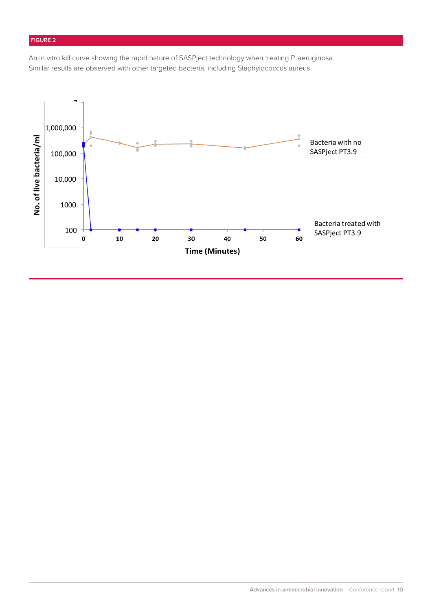## **FIGURE 2**

An in vitro kill curve showing the rapid nature of SASPject technology when treating P. aeruginosa. Similar results are observed with other targeted bacteria, including Staphylococcus aureus.

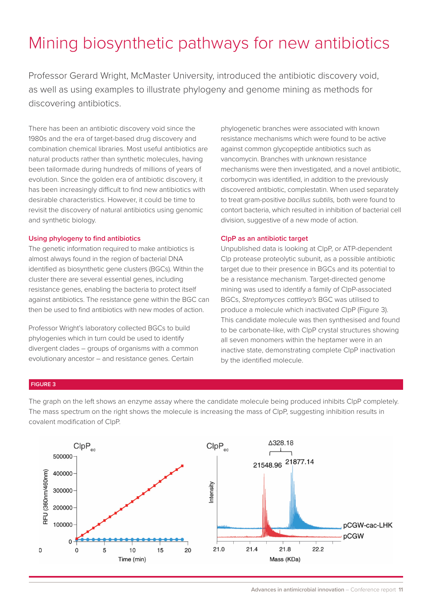# Mining biosynthetic pathways for new antibiotics

Professor Gerard Wright, McMaster University, introduced the antibiotic discovery void, as well as using examples to illustrate phylogeny and genome mining as methods for discovering antibiotics.

There has been an antibiotic discovery void since the 1980s and the era of target-based drug discovery and combination chemical libraries. Most useful antibiotics are natural products rather than synthetic molecules, having been tailormade during hundreds of millions of years of evolution. Since the golden era of antibiotic discovery, it has been increasingly difficult to find new antibiotics with desirable characteristics. However, it could be time to revisit the discovery of natural antibiotics using genomic and synthetic biology.

#### **Using phylogeny to find antibiotics**

The genetic information required to make antibiotics is almost always found in the region of bacterial DNA identified as biosynthetic gene clusters (BGCs). Within the cluster there are several essential genes, including resistance genes, enabling the bacteria to protect itself against antibiotics. The resistance gene within the BGC can then be used to find antibiotics with new modes of action.

Professor Wright's laboratory collected BGCs to build phylogenies which in turn could be used to identify divergent clades – groups of organisms with a common evolutionary ancestor – and resistance genes. Certain

phylogenetic branches were associated with known resistance mechanisms which were found to be active against common glycopeptide antibiotics such as vancomycin. Branches with unknown resistance mechanisms were then investigated, and a novel antibiotic, corbomycin was identified, in addition to the previously discovered antibiotic, complestatin. When used separately to treat gram-positive *bacillus subtilis,* both were found to contort bacteria, which resulted in inhibition of bacterial cell division, suggestive of a new mode of action.

#### **ClpP as an antibiotic target**

Unpublished data is looking at ClpP, or ATP-dependent Clp protease proteolytic subunit, as a possible antibiotic target due to their presence in BGCs and its potential to be a resistance mechanism. Target-directed genome mining was used to identify a family of ClpP-associated BGCs, *Streptomyces cattleya's* BGC was utilised to produce a molecule which inactivated ClpP (Figure 3). This candidate molecule was then synthesised and found to be carbonate-like, with ClpP crystal structures showing all seven monomers within the heptamer were in an inactive state, demonstrating complete ClpP inactivation by the identified molecule.

#### **FIGURE 3**

The graph on the left shows an enzyme assay where the candidate molecule being produced inhibits ClpP completely. The mass spectrum on the right shows the molecule is increasing the mass of ClpP, suggesting inhibition results in covalent modification of ClpP.

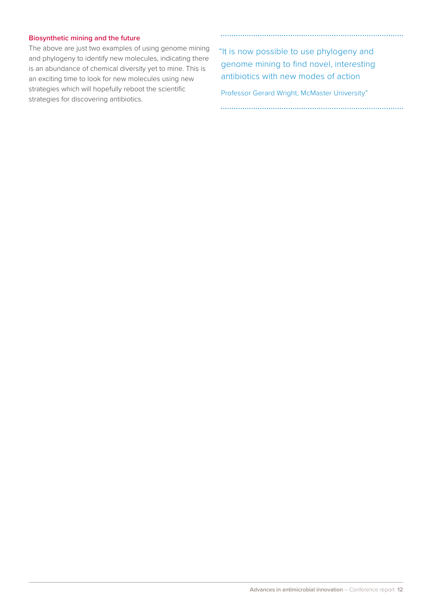#### **Biosynthetic mining and the future**

The above are just two examples of using genome mining and phylogeny to identify new molecules, indicating there is an abundance of chemical diversity yet to mine. This is an exciting time to look for new molecules using new strategies which will hopefully reboot the scientific strategies for discovering antibiotics.

 "It is now possible to use phylogeny and genome mining to find novel, interesting antibiotics with new modes of action

Professor Gerard Wright, McMaster University"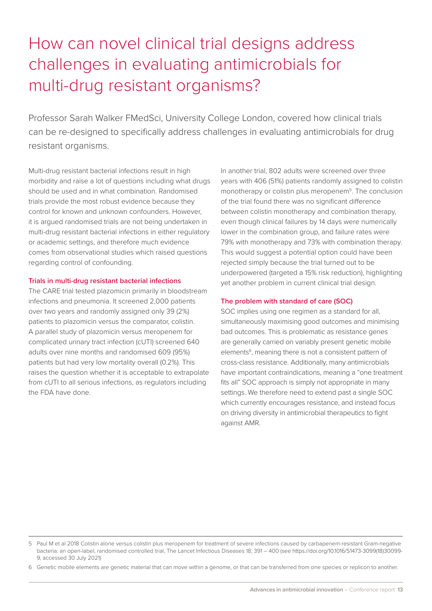# How can novel clinical trial designs address challenges in evaluating antimicrobials for multi-drug resistant organisms?

Professor Sarah Walker FMedSci, University College London, covered how clinical trials can be re-designed to specifically address challenges in evaluating antimicrobials for drug resistant organisms.

Multi-drug resistant bacterial infections result in high morbidity and raise a lot of questions including what drugs should be used and in what combination. Randomised trials provide the most robust evidence because they control for known and unknown confounders. However, it is argued randomised trials are not being undertaken in multi-drug resistant bacterial infections in either regulatory or academic settings, and therefore much evidence comes from observational studies which raised questions regarding control of confounding.

#### **Trials in multi-drug resistant bacterial infections**

The CARE trial tested plazomicin primarily in bloodstream infections and pneumonia. It screened 2,000 patients over two years and randomly assigned only 39 (2%) patients to plazomicin versus the comparator, colistin. A parallel study of plazomicin versus meropenem for complicated urinary tract infection (cUTI) screened 640 adults over nine months and randomised 609 (95%) patients but had very low mortality overall (0.2%). This raises the question whether it is acceptable to extrapolate from cUTI to all serious infections, as regulators including the FDA have done.

In another trial, 802 adults were screened over three years with 406 (51%) patients randomly assigned to colistin monotherapy or colistin plus meropenem5. The conclusion of the trial found there was no significant difference between colistin monotherapy and combination therapy, even though clinical failures by 14 days were numerically lower in the combination group, and failure rates were 79% with monotherapy and 73% with combination therapy. This would suggest a potential option could have been rejected simply because the trial turned out to be underpowered (targeted a 15% risk reduction), highlighting yet another problem in current clinical trial design.

### **The problem with standard of care (SOC)**

SOC implies using one regimen as a standard for all, simultaneously maximising good outcomes and minimising bad outcomes. This is problematic as resistance genes are generally carried on variably present genetic mobile elements<sup>6</sup>, meaning there is not a consistent pattern of cross-class resistance. Additionally, many antimicrobials have important contraindications, meaning a "one treatment fits all" SOC approach is simply not appropriate in many settings. We therefore need to extend past a single SOC which currently encourages resistance, and instead focus on driving diversity in antimicrobial therapeutics to fight against AMR.

<sup>5</sup> Paul M et al 2018 Colistin alone versus colistin plus meropenem for treatment of severe infections caused by carbapenem-resistant Gram-negative bacteria: an open-label, randomised controlled trial, The Lancet Infectious Diseases 18, 391 – 400 (see https://doi.org/10.1016/S1473-3099(18)30099- 9, accessed 30 July 2021)

<sup>6</sup> Genetic mobile elements are genetic material that can move within a genome, or that can be transferred from one species or replicon to another.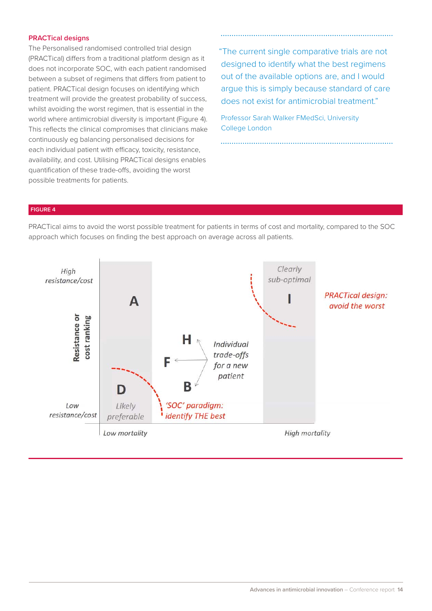#### **PRACTical designs**

The Personalised randomised controlled trial design (PRACTical) differs from a traditional platform design as it does not incorporate SOC, with each patient randomised between a subset of regimens that differs from patient to patient. PRACTical design focuses on identifying which treatment will provide the greatest probability of success, whilst avoiding the worst regimen, that is essential in the world where antimicrobial diversity is important (Figure 4). This reflects the clinical compromises that clinicians make continuously eg balancing personalised decisions for each individual patient with efficacy, toxicity, resistance, availability, and cost. Utilising PRACTical designs enables quantification of these trade-offs, avoiding the worst possible treatments for patients.

 "The current single comparative trials are not designed to identify what the best regimens out of the available options are, and I would argue this is simply because standard of care does not exist for antimicrobial treatment."

Professor Sarah Walker FMedSci, University College London

### **FIGURE 4**

PRACTical aims to avoid the worst possible treatment for patients in terms of cost and mortality, compared to the SOC approach which focuses on finding the best approach on average across all patients.

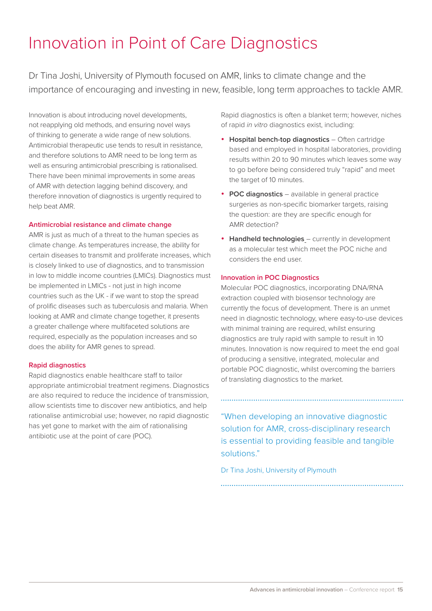# Innovation in Point of Care Diagnostics

Dr Tina Joshi, University of Plymouth focused on AMR, links to climate change and the importance of encouraging and investing in new, feasible, long term approaches to tackle AMR.

Innovation is about introducing novel developments, not reapplying old methods, and ensuring novel ways of thinking to generate a wide range of new solutions. Antimicrobial therapeutic use tends to result in resistance, and therefore solutions to AMR need to be long term as well as ensuring antimicrobial prescribing is rationalised. There have been minimal improvements in some areas of AMR with detection lagging behind discovery, and therefore innovation of diagnostics is urgently required to help beat AMR.

#### **Antimicrobial resistance and climate change**

AMR is just as much of a threat to the human species as climate change. As temperatures increase, the ability for certain diseases to transmit and proliferate increases, which is closely linked to use of diagnostics, and to transmission in low to middle income countries (LMICs). Diagnostics must be implemented in LMICs - not just in high income countries such as the UK - if we want to stop the spread of prolific diseases such as tuberculosis and malaria. When looking at AMR and climate change together, it presents a greater challenge where multifaceted solutions are required, especially as the population increases and so does the ability for AMR genes to spread.

### **Rapid diagnostics**

Rapid diagnostics enable healthcare staff to tailor appropriate antimicrobial treatment regimens. Diagnostics are also required to reduce the incidence of transmission, allow scientists time to discover new antibiotics, and help rationalise antimicrobial use; however, no rapid diagnostic has yet gone to market with the aim of rationalising antibiotic use at the point of care (POC).

Rapid diagnostics is often a blanket term; however, niches of rapid *in vitro* diagnostics exist, including:

- • **Hospital bench-top diagnostics** Often cartridge based and employed in hospital laboratories, providing results within 20 to 90 minutes which leaves some way to go before being considered truly "rapid" and meet the target of 10 minutes.
- • **POC diagnostics** available in general practice surgeries as non-specific biomarker targets, raising the question: are they are specific enough for AMR detection?
- • **Handheld technologies** currently in development as a molecular test which meet the POC niche and considers the end user.

#### **Innovation in POC Diagnostics**

Molecular POC diagnostics, incorporating DNA/RNA extraction coupled with biosensor technology are currently the focus of development. There is an unmet need in diagnostic technology, where easy-to-use devices with minimal training are required, whilst ensuring diagnostics are truly rapid with sample to result in 10 minutes. Innovation is now required to meet the end goal of producing a sensitive, integrated, molecular and portable POC diagnostic, whilst overcoming the barriers of translating diagnostics to the market.

"When developing an innovative diagnostic solution for AMR, cross-disciplinary research is essential to providing feasible and tangible solutions."

Dr Tina Joshi, University of Plymouth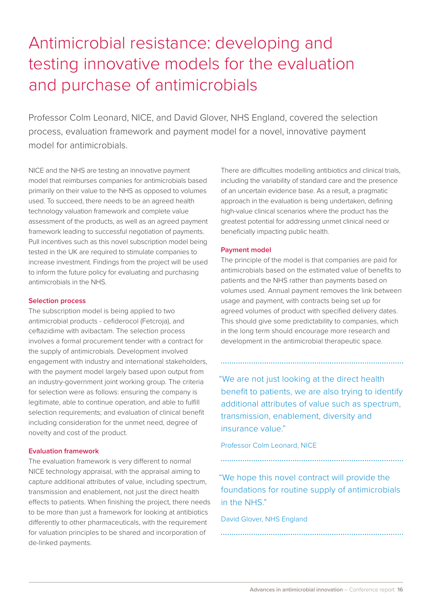# Antimicrobial resistance: developing and testing innovative models for the evaluation and purchase of antimicrobials

Professor Colm Leonard, NICE, and David Glover, NHS England, covered the selection process, evaluation framework and payment model for a novel, innovative payment model for antimicrobials.

NICE and the NHS are testing an innovative payment model that reimburses companies for antimicrobials based primarily on their value to the NHS as opposed to volumes used. To succeed, there needs to be an agreed health technology valuation framework and complete value assessment of the products, as well as an agreed payment framework leading to successful negotiation of payments. Pull incentives such as this novel subscription model being tested in the UK are required to stimulate companies to increase investment. Findings from the project will be used to inform the future policy for evaluating and purchasing antimicrobials in the NHS.

#### **Selection process**

The subscription model is being applied to two antimicrobial products - cefiderocol (Fetcroja), and ceftazidime with avibactam. The selection process involves a formal procurement tender with a contract for the supply of antimicrobials. Development involved engagement with industry and international stakeholders, with the payment model largely based upon output from an industry-government joint working group. The criteria for selection were as follows: ensuring the company is legitimate, able to continue operation, and able to fulfill selection requirements; and evaluation of clinical benefit including consideration for the unmet need, degree of novelty and cost of the product.

#### **Evaluation framework**

The evaluation framework is very different to normal NICE technology appraisal, with the appraisal aiming to capture additional attributes of value, including spectrum, transmission and enablement, not just the direct health effects to patients. When finishing the project, there needs to be more than just a framework for looking at antibiotics differently to other pharmaceuticals, with the requirement for valuation principles to be shared and incorporation of de-linked payments.

There are difficulties modelling antibiotics and clinical trials, including the variability of standard care and the presence of an uncertain evidence base. As a result, a pragmatic approach in the evaluation is being undertaken, defining high-value clinical scenarios where the product has the greatest potential for addressing unmet clinical need or beneficially impacting public health.

#### **Payment model**

The principle of the model is that companies are paid for antimicrobials based on the estimated value of benefits to patients and the NHS rather than payments based on volumes used. Annual payment removes the link between usage and payment, with contracts being set up for agreed volumes of product with specified delivery dates. This should give some predictability to companies, which in the long term should encourage more research and development in the antimicrobial therapeutic space.

 "We are not just looking at the direct health benefit to patients, we are also trying to identify additional attributes of value such as spectrum, transmission, enablement, diversity and insurance value."

Professor Colm Leonard, NICE

 "We hope this novel contract will provide the foundations for routine supply of antimicrobials in the NHS."

David Glover, NHS England

**Advances in antimicrobial innovation** – Conference report **16**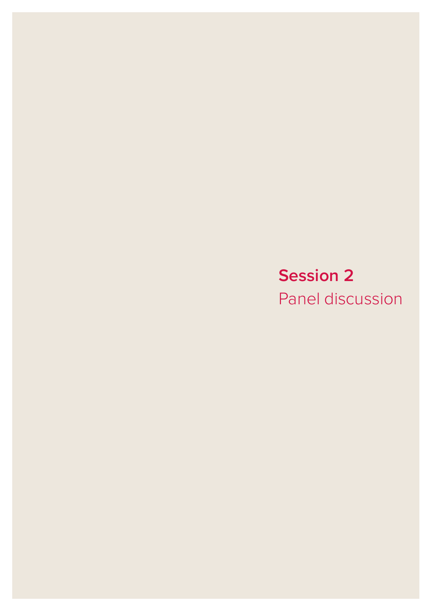# **Session 2**

Panel discussion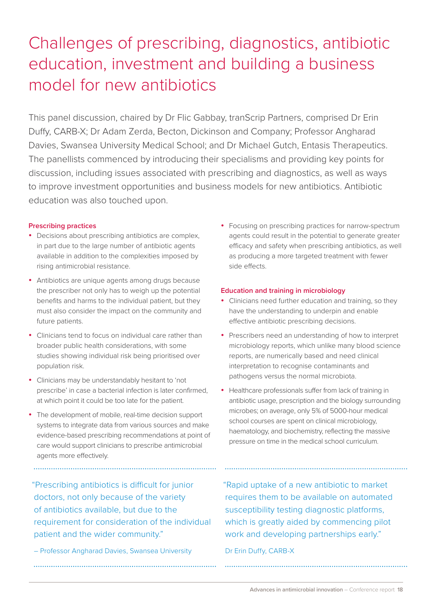# Challenges of prescribing, diagnostics, antibiotic education, investment and building a business model for new antibiotics

This panel discussion, chaired by Dr Flic Gabbay, tranScrip Partners, comprised Dr Erin Duffy, CARB-X; Dr Adam Zerda, Becton, Dickinson and Company; Professor Angharad Davies, Swansea University Medical School; and Dr Michael Gutch, Entasis Therapeutics. The panellists commenced by introducing their specialisms and providing key points for discussion, including issues associated with prescribing and diagnostics, as well as ways to improve investment opportunities and business models for new antibiotics. Antibiotic education was also touched upon.

### **Prescribing practices**

- Decisions about prescribing antibiotics are complex, in part due to the large number of antibiotic agents available in addition to the complexities imposed by rising antimicrobial resistance.
- Antibiotics are unique agents among drugs because the prescriber not only has to weigh up the potential benefits and harms to the individual patient, but they must also consider the impact on the community and future patients.
- Clinicians tend to focus on individual care rather than broader public health considerations, with some studies showing individual risk being prioritised over population risk.
- Clinicians may be understandably hesitant to 'not prescribe' in case a bacterial infection is later confirmed, at which point it could be too late for the patient.
- The development of mobile, real-time decision support systems to integrate data from various sources and make evidence-based prescribing recommendations at point of care would support clinicians to prescribe antimicrobial agents more effectively.

• Focusing on prescribing practices for narrow-spectrum agents could result in the potential to generate greater efficacy and safety when prescribing antibiotics, as well as producing a more targeted treatment with fewer side effects.

### **Education and training in microbiology**

- Clinicians need further education and training, so they have the understanding to underpin and enable effective antibiotic prescribing decisions.
- Prescribers need an understanding of how to interpret microbiology reports, which unlike many blood science reports, are numerically based and need clinical interpretation to recognise contaminants and pathogens versus the normal microbiota.
- Healthcare professionals suffer from lack of training in antibiotic usage, prescription and the biology surrounding microbes; on average, only 5% of 5000-hour medical school courses are spent on clinical microbiology, haematology, and biochemistry, reflecting the massive pressure on time in the medical school curriculum.

 "Prescribing antibiotics is difficult for junior doctors, not only because of the variety of antibiotics available, but due to the requirement for consideration of the individual patient and the wider community."

– Professor Angharad Davies, Swansea University

 "Rapid uptake of a new antibiotic to market requires them to be available on automated susceptibility testing diagnostic platforms, which is greatly aided by commencing pilot work and developing partnerships early."

### Dr Erin Duffy, CARB-X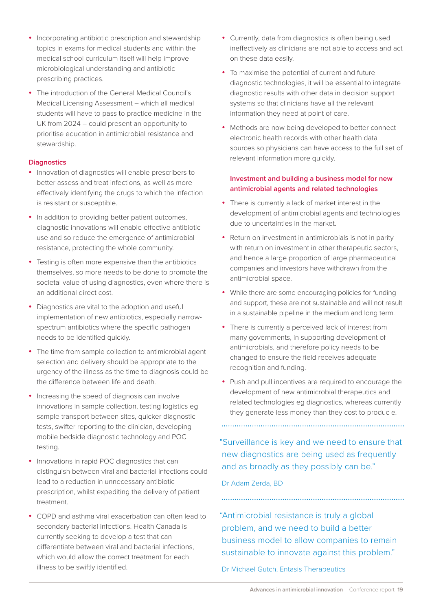- Incorporating antibiotic prescription and stewardship topics in exams for medical students and within the medical school curriculum itself will help improve microbiological understanding and antibiotic prescribing practices.
- The introduction of the General Medical Council's Medical Licensing Assessment – which all medical students will have to pass to practice medicine in the UK from 2024 – could present an opportunity to prioritise education in antimicrobial resistance and stewardship.

### **Diagnostics**

- Innovation of diagnostics will enable prescribers to better assess and treat infections, as well as more effectively identifying the drugs to which the infection is resistant or susceptible.
- In addition to providing better patient outcomes, diagnostic innovations will enable effective antibiotic use and so reduce the emergence of antimicrobial resistance, protecting the whole community.
- Testing is often more expensive than the antibiotics themselves, so more needs to be done to promote the societal value of using diagnostics, even where there is an additional direct cost.
- Diagnostics are vital to the adoption and useful implementation of new antibiotics, especially narrowspectrum antibiotics where the specific pathogen needs to be identified quickly.
- The time from sample collection to antimicrobial agent selection and delivery should be appropriate to the urgency of the illness as the time to diagnosis could be the difference between life and death.
- Increasing the speed of diagnosis can involve innovations in sample collection, testing logistics eg sample transport between sites, quicker diagnostic tests, swifter reporting to the clinician, developing mobile bedside diagnostic technology and POC testing.
- Innovations in rapid POC diagnostics that can distinguish between viral and bacterial infections could lead to a reduction in unnecessary antibiotic prescription, whilst expediting the delivery of patient treatment.
- • COPD and asthma viral exacerbation can often lead to secondary bacterial infections. Health Canada is currently seeking to develop a test that can differentiate between viral and bacterial infections, which would allow the correct treatment for each illness to be swiftly identified.
- Currently, data from diagnostics is often being used ineffectively as clinicians are not able to access and act on these data easily.
- To maximise the potential of current and future diagnostic technologies, it will be essential to integrate diagnostic results with other data in decision support systems so that clinicians have all the relevant information they need at point of care.
- Methods are now being developed to better connect electronic health records with other health data sources so physicians can have access to the full set of relevant information more quickly.

### **Investment and building a business model for new antimicrobial agents and related technologies**

- There is currently a lack of market interest in the development of antimicrobial agents and technologies due to uncertainties in the market.
- Return on investment in antimicrobials is not in parity with return on investment in other therapeutic sectors, and hence a large proportion of large pharmaceutical companies and investors have withdrawn from the antimicrobial space.
- While there are some encouraging policies for funding and support, these are not sustainable and will not result in a sustainable pipeline in the medium and long term.
- There is currently a perceived lack of interest from many governments, in supporting development of antimicrobials, and therefore policy needs to be changed to ensure the field receives adequate recognition and funding.
- Push and pull incentives are required to encourage the development of new antimicrobial therapeutics and related technologies eg diagnostics, whereas currently they generate less money than they cost to produc e.

 "Surveillance is key and we need to ensure that new diagnostics are being used as frequently and as broadly as they possibly can be."

Dr Adam Zerda, BD

 "Antimicrobial resistance is truly a global problem, and we need to build a better business model to allow companies to remain sustainable to innovate against this problem."

### Dr Michael Gutch, Entasis Therapeutics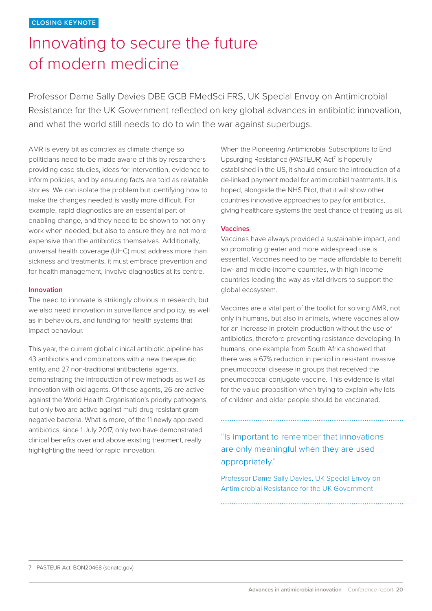# Innovating to secure the future of modern medicine

Professor Dame Sally Davies DBE GCB FMedSci FRS, UK Special Envoy on Antimicrobial Resistance for the UK Government reflected on key global advances in antibiotic innovation, and what the world still needs to do to win the war against superbugs.

AMR is every bit as complex as climate change so politicians need to be made aware of this by researchers providing case studies, ideas for intervention, evidence to inform policies, and by ensuring facts are told as relatable stories. We can isolate the problem but identifying how to make the changes needed is vastly more difficult. For example, rapid diagnostics are an essential part of enabling change, and they need to be shown to not only work when needed, but also to ensure they are not more expensive than the antibiotics themselves. Additionally, universal health coverage (UHC) must address more than sickness and treatments, it must embrace prevention and for health management, involve diagnostics at its centre.

#### **Innovation**

The need to innovate is strikingly obvious in research, but we also need innovation in surveillance and policy, as well as in behaviours, and funding for health systems that impact behaviour.

This year, the current global clinical antibiotic pipeline has 43 antibiotics and combinations with a new therapeutic entity, and 27 non-traditional antibacterial agents, demonstrating the introduction of new methods as well as innovation with old agents. Of these agents, 26 are active against the World Health Organisation's priority pathogens, but only two are active against multi drug resistant gramnegative bacteria. What is more, of the 11 newly approved antibiotics, since 1 July 2017, only two have demonstrated clinical benefits over and above existing treatment, really highlighting the need for rapid innovation.

When the Pioneering Antimicrobial Subscriptions to End Upsurging Resistance (PASTEUR) Act<sup>7</sup> is hopefully established in the US, it should ensure the introduction of a de-linked payment model for antimicrobial treatments. It is hoped, alongside the NHS Pilot, that it will show other countries innovative approaches to pay for antibiotics, giving healthcare systems the best chance of treating us all.

#### **Vaccines**

Vaccines have always provided a sustainable impact, and so promoting greater and more widespread use is essential. Vaccines need to be made affordable to benefit low- and middle-income countries, with high income countries leading the way as vital drivers to support the global ecosystem.

Vaccines are a vital part of the toolkit for solving AMR, not only in humans, but also in animals, where vaccines allow for an increase in protein production without the use of antibiotics, therefore preventing resistance developing. In humans, one example from South Africa showed that there was a 67% reduction in penicillin resistant invasive pneumococcal disease in groups that received the pneumococcal conjugate vaccine. This evidence is vital for the value proposition when trying to explain why lots of children and older people should be vaccinated.

"Is important to remember that innovations are only meaningful when they are used appropriately."

Professor Dame Sally Davies, UK Special Envoy on Antimicrobial Resistance for the UK Government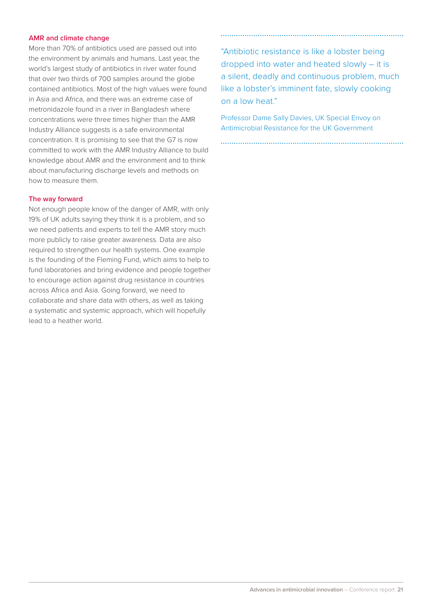#### **AMR and climate change**

More than 70% of antibiotics used are passed out into the environment by animals and humans. Last year, the world's largest study of antibiotics in river water found that over two thirds of 700 samples around the globe contained antibiotics. Most of the high values were found in Asia and Africa, and there was an extreme case of metronidazole found in a river in Bangladesh where concentrations were three times higher than the AMR Industry Alliance suggests is a safe environmental concentration. It is promising to see that the G7 is now committed to work with the AMR Industry Alliance to build knowledge about AMR and the environment and to think about manufacturing discharge levels and methods on how to measure them.

#### **The way forward**

Not enough people know of the danger of AMR, with only 19% of UK adults saying they think it is a problem, and so we need patients and experts to tell the AMR story much more publicly to raise greater awareness. Data are also required to strengthen our health systems. One example is the founding of the Fleming Fund, which aims to help to fund laboratories and bring evidence and people together to encourage action against drug resistance in countries across Africa and Asia. Going forward, we need to collaborate and share data with others, as well as taking a systematic and systemic approach, which will hopefully lead to a heather world.

"Antibiotic resistance is like a lobster being dropped into water and heated slowly – it is a silent, deadly and continuous problem, much like a lobster's imminent fate, slowly cooking on a low heat."

Professor Dame Sally Davies, UK Special Envoy on Antimicrobial Resistance for the UK Government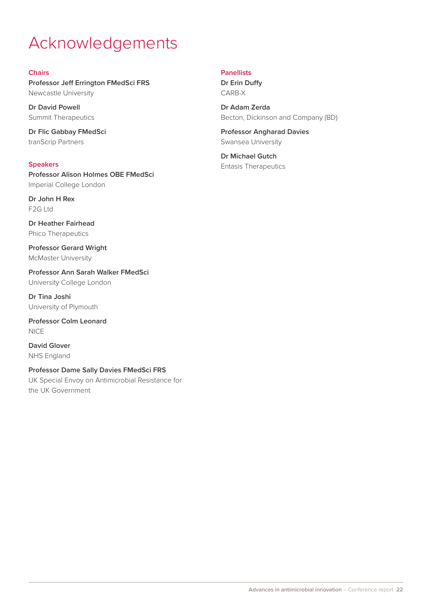# Acknowledgements

#### **Chairs**

**Professor Jeff Errington FMedSci FRS** Newcastle University

**Dr David Powell** Summit Therapeutics

**Dr Flic Gabbay FMedSci** tranScrip Partners

**Speakers Professor Alison Holmes OBE FMedSci** Imperial College London

**Dr John H Rex** F2G Ltd

**Dr Heather Fairhead** Phico Therapeutics

**Professor Gerard Wright** McMaster University

**Professor Ann Sarah Walker FMedSci** University College London

**Dr Tina Joshi** University of Plymouth

**Professor Colm Leonard** NICE

**David Glover** NHS England

**Professor Dame Sally Davies FMedSci FRS**

UK Special Envoy on Antimicrobial Resistance for the UK Government

### **Panellists**

**Dr Erin Duffy** CARB-X

**Dr Adam Zerda** Becton, Dickinson and Company (BD)

**Professor Angharad Davies** Swansea University

**Dr Michael Gutch** Entasis Therapeutics